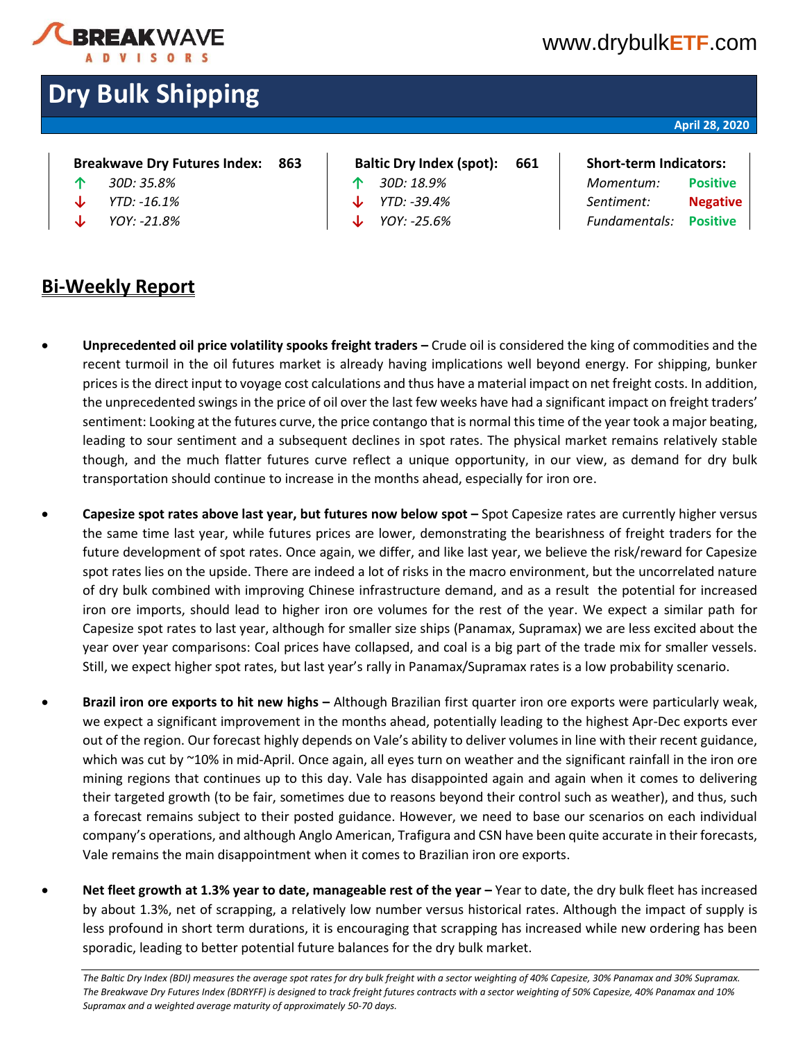

### [www.drybulk](http://www.drybulketf.com/)**ETF**.com

# **Dry Bulk Shipping**

#### **April 28, 2020**

| <b>Breakwave Dry Futures Index:</b> |  | 863 |
|-------------------------------------|--|-----|
|                                     |  |     |

- 
- 
- 
- **Baltic Dry Index (spot):** 661 | Short-term Indicators:
- 
- 

### **↑** *30D: 35.8%* **↑** *30D: 18.9% Momentum:* **Positive ↓** *YTD: -16.1%* **↓** *YTD: -39.4% Sentiment:* **Negative ↓** *YOY: -21.8%* **↓** *YOY: -25.6% Fundamentals:* **Positive**

- **Bi-Weekly Report**
	- **Unprecedented oil price volatility spooks freight traders –** Crude oil is considered the king of commodities and the recent turmoil in the oil futures market is already having implications well beyond energy. For shipping, bunker prices is the direct input to voyage cost calculations and thus have a material impact on net freight costs. In addition, the unprecedented swings in the price of oil over the last few weeks have had a significant impact on freight traders' sentiment: Looking at the futures curve, the price contango that is normal this time of the year took a major beating, leading to sour sentiment and a subsequent declines in spot rates. The physical market remains relatively stable though, and the much flatter futures curve reflect a unique opportunity, in our view, as demand for dry bulk transportation should continue to increase in the months ahead, especially for iron ore.
	- **Capesize spot rates above last year, but futures now below spot –** Spot Capesize rates are currently higher versus the same time last year, while futures prices are lower, demonstrating the bearishness of freight traders for the future development of spot rates. Once again, we differ, and like last year, we believe the risk/reward for Capesize spot rates lies on the upside. There are indeed a lot of risks in the macro environment, but the uncorrelated nature of dry bulk combined with improving Chinese infrastructure demand, and as a result the potential for increased iron ore imports, should lead to higher iron ore volumes for the rest of the year. We expect a similar path for Capesize spot rates to last year, although for smaller size ships (Panamax, Supramax) we are less excited about the year over year comparisons: Coal prices have collapsed, and coal is a big part of the trade mix for smaller vessels. Still, we expect higher spot rates, but last year's rally in Panamax/Supramax rates is a low probability scenario.
	- **Brazil iron ore exports to hit new highs –** Although Brazilian first quarter iron ore exports were particularly weak, we expect a significant improvement in the months ahead, potentially leading to the highest Apr-Dec exports ever out of the region. Our forecast highly depends on Vale's ability to deliver volumes in line with their recent guidance, which was cut by ~10% in mid-April. Once again, all eyes turn on weather and the significant rainfall in the iron ore mining regions that continues up to this day. Vale has disappointed again and again when it comes to delivering their targeted growth (to be fair, sometimes due to reasons beyond their control such as weather), and thus, such a forecast remains subject to their posted guidance. However, we need to base our scenarios on each individual company's operations, and although Anglo American, Trafigura and CSN have been quite accurate in their forecasts, Vale remains the main disappointment when it comes to Brazilian iron ore exports.
- **Net fleet growth at 1.3% year to date, manageable rest of the year –** Year to date, the dry bulk fleet has increased by about 1.3%, net of scrapping, a relatively low number versus historical rates. Although the impact of supply is less profound in short term durations, it is encouraging that scrapping has increased while new ordering has been sporadic, leading to better potential future balances for the dry bulk market.

The Baltic Dry Index (BDI) measures the average spot rates for dry bulk freight with a sector weighting of 40% Capesize, 30% Panamax and 30% Supramax. *The Breakwave Dry Futures Index (BDRYFF) is designed to track freight futures contracts with a sector weighting of 50% Capesize, 40% Panamax and 10% Supramax and a weighted average maturity of approximately 50-70 days.*